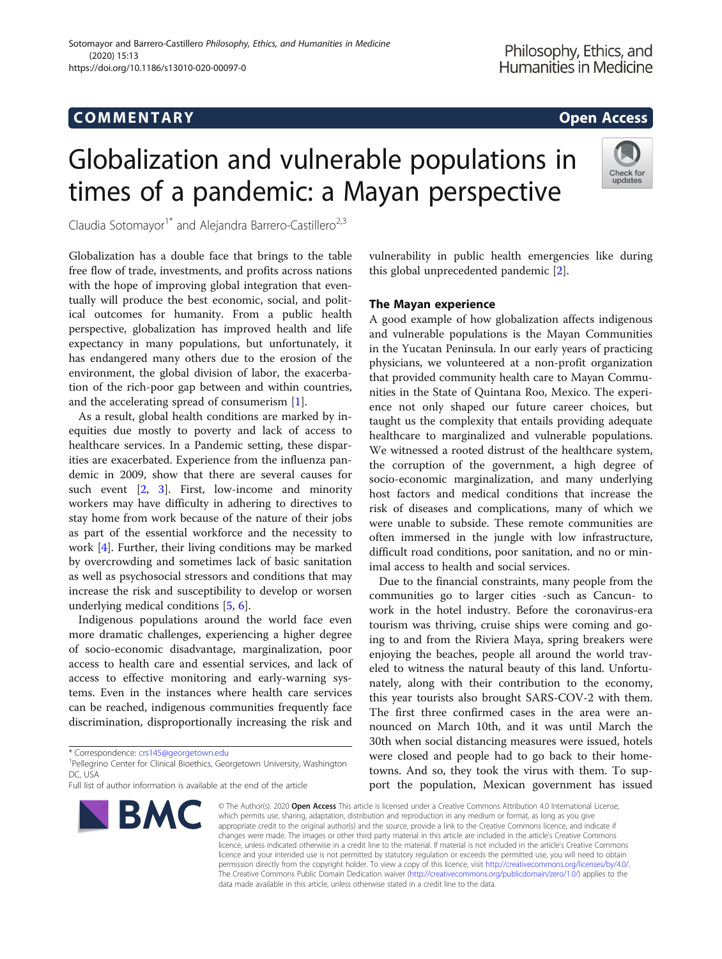# COMM EN TARY Open Access

# Globalization and vulnerable populations in times of a pandemic: a Mayan perspective



Claudia Sotomayor<sup>1\*</sup> and Alejandra Barrero-Castillero<sup>2,3</sup>

Globalization has a double face that brings to the table free flow of trade, investments, and profits across nations with the hope of improving global integration that eventually will produce the best economic, social, and political outcomes for humanity. From a public health perspective, globalization has improved health and life expectancy in many populations, but unfortunately, it has endangered many others due to the erosion of the environment, the global division of labor, the exacerbation of the rich-poor gap between and within countries, and the accelerating spread of consumerism [\[1](#page-1-0)].

As a result, global health conditions are marked by inequities due mostly to poverty and lack of access to healthcare services. In a Pandemic setting, these disparities are exacerbated. Experience from the influenza pandemic in 2009, show that there are several causes for such event [[2,](#page-1-0) [3\]](#page-1-0). First, low-income and minority workers may have difficulty in adhering to directives to stay home from work because of the nature of their jobs as part of the essential workforce and the necessity to work [[4\]](#page-1-0). Further, their living conditions may be marked by overcrowding and sometimes lack of basic sanitation as well as psychosocial stressors and conditions that may increase the risk and susceptibility to develop or worsen underlying medical conditions [[5,](#page-1-0) [6\]](#page-2-0).

Indigenous populations around the world face even more dramatic challenges, experiencing a higher degree of socio-economic disadvantage, marginalization, poor access to health care and essential services, and lack of access to effective monitoring and early-warning systems. Even in the instances where health care services can be reached, indigenous communities frequently face discrimination, disproportionally increasing the risk and

\* Correspondence: [crs145@georgetown.edu](mailto:crs145@georgetown.edu) <sup>1</sup>

Full list of author information is available at the end of the article



vulnerability in public health emergencies like during this global unprecedented pandemic [\[2](#page-1-0)].

## The Mayan experience

A good example of how globalization affects indigenous and vulnerable populations is the Mayan Communities in the Yucatan Peninsula. In our early years of practicing physicians, we volunteered at a non-profit organization that provided community health care to Mayan Communities in the State of Quintana Roo, Mexico. The experience not only shaped our future career choices, but taught us the complexity that entails providing adequate healthcare to marginalized and vulnerable populations. We witnessed a rooted distrust of the healthcare system, the corruption of the government, a high degree of socio-economic marginalization, and many underlying host factors and medical conditions that increase the risk of diseases and complications, many of which we were unable to subside. These remote communities are often immersed in the jungle with low infrastructure, difficult road conditions, poor sanitation, and no or minimal access to health and social services.

Due to the financial constraints, many people from the communities go to larger cities -such as Cancun- to work in the hotel industry. Before the coronavirus-era tourism was thriving, cruise ships were coming and going to and from the Riviera Maya, spring breakers were enjoying the beaches, people all around the world traveled to witness the natural beauty of this land. Unfortunately, along with their contribution to the economy, this year tourists also brought SARS-COV-2 with them. The first three confirmed cases in the area were announced on March 10th, and it was until March the 30th when social distancing measures were issued, hotels were closed and people had to go back to their hometowns. And so, they took the virus with them. To support the population, Mexican government has issued

© The Author(s). 2020 Open Access This article is licensed under a Creative Commons Attribution 4.0 International License, which permits use, sharing, adaptation, distribution and reproduction in any medium or format, as long as you give appropriate credit to the original author(s) and the source, provide a link to the Creative Commons licence, and indicate if changes were made. The images or other third party material in this article are included in the article's Creative Commons licence, unless indicated otherwise in a credit line to the material. If material is not included in the article's Creative Commons licence and your intended use is not permitted by statutory regulation or exceeds the permitted use, you will need to obtain permission directly from the copyright holder. To view a copy of this licence, visit [http://creativecommons.org/licenses/by/4.0/.](http://creativecommons.org/licenses/by/4.0/) The Creative Commons Public Domain Dedication waiver [\(http://creativecommons.org/publicdomain/zero/1.0/](http://creativecommons.org/publicdomain/zero/1.0/)) applies to the data made available in this article, unless otherwise stated in a credit line to the data.

<sup>&</sup>lt;sup>1</sup>Pellegrino Center for Clinical Bioethics, Georgetown University, Washington DC, USA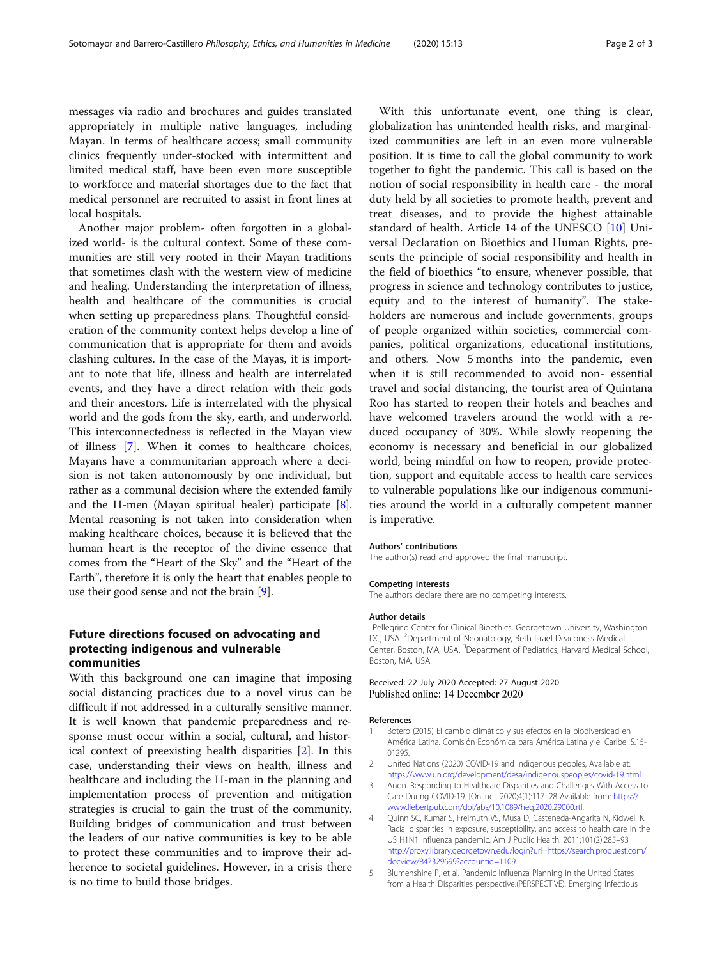<span id="page-1-0"></span>messages via radio and brochures and guides translated appropriately in multiple native languages, including Mayan. In terms of healthcare access; small community clinics frequently under-stocked with intermittent and limited medical staff, have been even more susceptible to workforce and material shortages due to the fact that medical personnel are recruited to assist in front lines at local hospitals.

Another major problem- often forgotten in a globalized world- is the cultural context. Some of these communities are still very rooted in their Mayan traditions that sometimes clash with the western view of medicine and healing. Understanding the interpretation of illness, health and healthcare of the communities is crucial when setting up preparedness plans. Thoughtful consideration of the community context helps develop a line of communication that is appropriate for them and avoids clashing cultures. In the case of the Mayas, it is important to note that life, illness and health are interrelated events, and they have a direct relation with their gods and their ancestors. Life is interrelated with the physical world and the gods from the sky, earth, and underworld. This interconnectedness is reflected in the Mayan view of illness [[7\]](#page-2-0). When it comes to healthcare choices, Mayans have a communitarian approach where a decision is not taken autonomously by one individual, but rather as a communal decision where the extended family and the H-men (Mayan spiritual healer) participate [[8](#page-2-0)]. Mental reasoning is not taken into consideration when making healthcare choices, because it is believed that the human heart is the receptor of the divine essence that comes from the "Heart of the Sky" and the "Heart of the Earth", therefore it is only the heart that enables people to use their good sense and not the brain [\[9](#page-2-0)].

# Future directions focused on advocating and protecting indigenous and vulnerable communities

With this background one can imagine that imposing social distancing practices due to a novel virus can be difficult if not addressed in a culturally sensitive manner. It is well known that pandemic preparedness and response must occur within a social, cultural, and historical context of preexisting health disparities [2]. In this case, understanding their views on health, illness and healthcare and including the H-man in the planning and implementation process of prevention and mitigation strategies is crucial to gain the trust of the community. Building bridges of communication and trust between the leaders of our native communities is key to be able to protect these communities and to improve their adherence to societal guidelines. However, in a crisis there is no time to build those bridges.

With this unfortunate event, one thing is clear, globalization has unintended health risks, and marginalized communities are left in an even more vulnerable position. It is time to call the global community to work together to fight the pandemic. This call is based on the notion of social responsibility in health care - the moral duty held by all societies to promote health, prevent and treat diseases, and to provide the highest attainable standard of health. Article 14 of the UNESCO [\[10](#page-2-0)] Universal Declaration on Bioethics and Human Rights, presents the principle of social responsibility and health in the field of bioethics "to ensure, whenever possible, that progress in science and technology contributes to justice, equity and to the interest of humanity". The stakeholders are numerous and include governments, groups of people organized within societies, commercial companies, political organizations, educational institutions, and others. Now 5 months into the pandemic, even when it is still recommended to avoid non- essential travel and social distancing, the tourist area of Quintana Roo has started to reopen their hotels and beaches and have welcomed travelers around the world with a reduced occupancy of 30%. While slowly reopening the economy is necessary and beneficial in our globalized world, being mindful on how to reopen, provide protection, support and equitable access to health care services to vulnerable populations like our indigenous communities around the world in a culturally competent manner is imperative.

#### Authors' contributions

The author(s) read and approved the final manuscript.

#### Competing interests

The authors declare there are no competing interests.

#### Author details

<sup>1</sup>Pellegrino Center for Clinical Bioethics, Georgetown University, Washington DC, USA. <sup>2</sup>Department of Neonatology, Beth Israel Deaconess Medical Center, Boston, MA, USA. <sup>3</sup>Department of Pediatrics, Harvard Medical School, Boston, MA, USA.

Received: 22 July 2020 Accepted: 27 August 2020 Published online: 14 December 2020

#### References

- 1. Botero (2015) El cambio climático y sus efectos en la biodiversidad en América Latina. Comisión Económica para América Latina y el Caribe. S.15- 01295.
- 2. United Nations (2020) COVID-19 and Indigenous peoples, Available at: <https://www.un.org/development/desa/indigenouspeoples/covid-19.html>.
- Anon. Responding to Healthcare Disparities and Challenges With Access to Care During COVID-19. [Online]. 2020;4(1):117–28 Available from: [https://](https://www.liebertpub.com/doi/abs/10.1089/heq.2020.29000.rtl) [www.liebertpub.com/doi/abs/10.1089/heq.2020.29000.rtl.](https://www.liebertpub.com/doi/abs/10.1089/heq.2020.29000.rtl)
- 4. Quinn SC, Kumar S, Freimuth VS, Musa D, Casteneda-Angarita N, Kidwell K. Racial disparities in exposure, susceptibility, and access to health care in the US H1N1 influenza pandemic. Am J Public Health. 2011;101(2):285–93 [http://proxy.library.georgetown.edu/login?url=https://search.proquest.com/](http://proxy.library.georgetown.edu/login?url=https://search.proquest.com/docview/847329699?accountid=11091) [docview/847329699?accountid=11091.](http://proxy.library.georgetown.edu/login?url=https://search.proquest.com/docview/847329699?accountid=11091)
- 5. Blumenshine P, et al. Pandemic Influenza Planning in the United States from a Health Disparities perspective.(PERSPECTIVE). Emerging Infectious